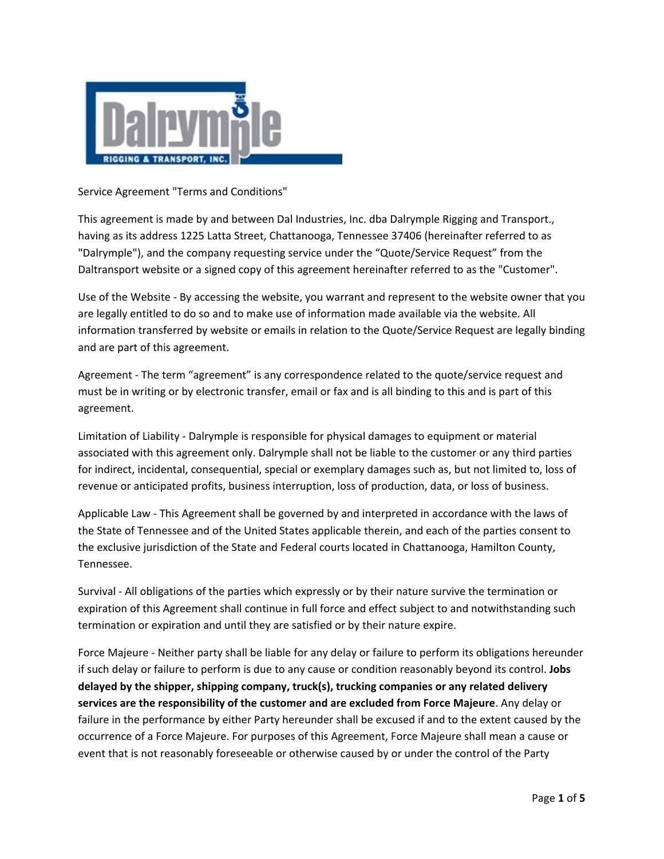

Service Agreement "Terms and Conditions"

This agreement is made by and between Dal Industries, Inc. dba Dalrymple Rigging and Transport., having as its address 1225 Latta Street, Chattanooga, Tennessee 37406 (hereinafter referred to as "Dalrymple"), and the company requesting service under the "Quote/Service Request" from the Daltransport website or a signed copy of this agreement hereinafter referred to as the "Customer".

Use of the Website ‐ By accessing the website, you warrant and represent to the website owner that you are legally entitled to do so and to make use of information made available via the website. All information transferred by website or emails in relation to the Quote/Service Request are legally binding and are part of this agreement.

Agreement - The term "agreement" is any correspondence related to the quote/service request and must be in writing or by electronic transfer, email or fax and is all binding to this and is part of this agreement.

Limitation of Liability ‐ Dalrymple is responsible for physical damages to equipment or material associated with this agreement only. Dalrymple shall not be liable to the customer or any third parties for indirect, incidental, consequential, special or exemplary damages such as, but not limited to, loss of revenue or anticipated profits, business interruption, loss of production, data, or loss of business.

Applicable Law ‐ This Agreement shall be governed by and interpreted in accordance with the laws of the State of Tennessee and of the United States applicable therein, and each of the parties consent to the exclusive jurisdiction of the State and Federal courts located in Chattanooga, Hamilton County, Tennessee.

Survival ‐ All obligations of the parties which expressly or by their nature survive the termination or expiration of this Agreement shall continue in full force and effect subject to and notwithstanding such termination or expiration and until they are satisfied or by their nature expire.

Force Majeure ‐ Neither party shall be liable for any delay or failure to perform its obligations hereunder if such delay or failure to perform is due to any cause or condition reasonably beyond its control. **Jobs delayed by the shipper, shipping company, truck(s), trucking companies or any related delivery services are the responsibility of the customer and are excluded from Force Majeure**. Any delay or failure in the performance by either Party hereunder shall be excused if and to the extent caused by the occurrence of a Force Majeure. For purposes of this Agreement, Force Majeure shall mean a cause or event that is not reasonably foreseeable or otherwise caused by or under the control of the Party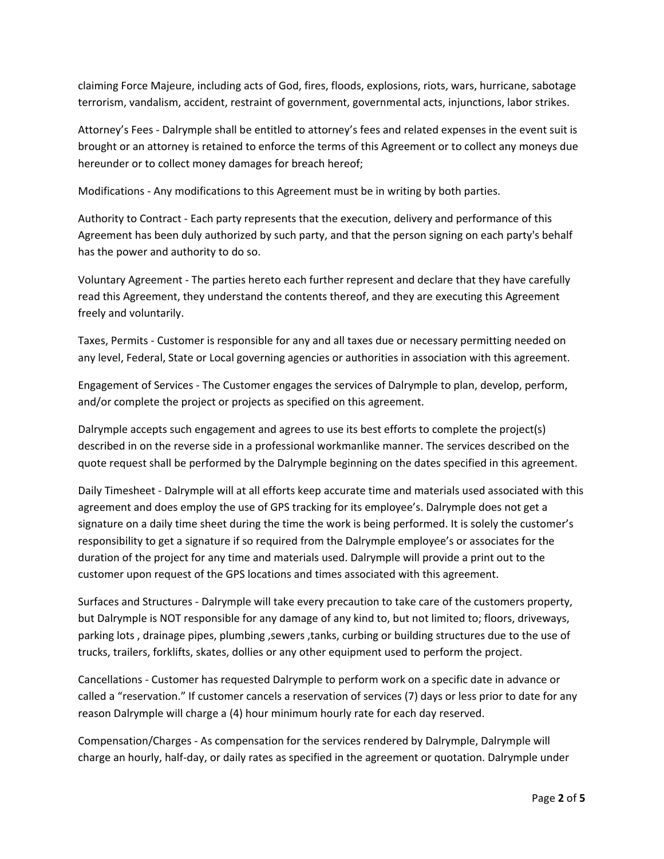claiming Force Majeure, including acts of God, fires, floods, explosions, riots, wars, hurricane, sabotage terrorism, vandalism, accident, restraint of government, governmental acts, injunctions, labor strikes.

Attorney's Fees ‐ Dalrymple shall be entitled to attorney's fees and related expenses in the event suit is brought or an attorney is retained to enforce the terms of this Agreement or to collect any moneys due hereunder or to collect money damages for breach hereof;

Modifications ‐ Any modifications to this Agreement must be in writing by both parties.

Authority to Contract ‐ Each party represents that the execution, delivery and performance of this Agreement has been duly authorized by such party, and that the person signing on each party's behalf has the power and authority to do so.

Voluntary Agreement ‐ The parties hereto each further represent and declare that they have carefully read this Agreement, they understand the contents thereof, and they are executing this Agreement freely and voluntarily.

Taxes, Permits ‐ Customer is responsible for any and all taxes due or necessary permitting needed on any level, Federal, State or Local governing agencies or authorities in association with this agreement.

Engagement of Services ‐ The Customer engages the services of Dalrymple to plan, develop, perform, and/or complete the project or projects as specified on this agreement.

Dalrymple accepts such engagement and agrees to use its best efforts to complete the project(s) described in on the reverse side in a professional workmanlike manner. The services described on the quote request shall be performed by the Dalrymple beginning on the dates specified in this agreement.

Daily Timesheet ‐ Dalrymple will at all efforts keep accurate time and materials used associated with this agreement and does employ the use of GPS tracking for its employee's. Dalrymple does not get a signature on a daily time sheet during the time the work is being performed. It is solely the customer's responsibility to get a signature if so required from the Dalrymple employee's or associates for the duration of the project for any time and materials used. Dalrymple will provide a print out to the customer upon request of the GPS locations and times associated with this agreement.

Surfaces and Structures ‐ Dalrymple will take every precaution to take care of the customers property, but Dalrymple is NOT responsible for any damage of any kind to, but not limited to; floors, driveways, parking lots , drainage pipes, plumbing ,sewers ,tanks, curbing or building structures due to the use of trucks, trailers, forklifts, skates, dollies or any other equipment used to perform the project.

Cancellations ‐ Customer has requested Dalrymple to perform work on a specific date in advance or called a "reservation." If customer cancels a reservation of services (7) days or less prior to date for any reason Dalrymple will charge a (4) hour minimum hourly rate for each day reserved.

Compensation/Charges ‐ As compensation for the services rendered by Dalrymple, Dalrymple will charge an hourly, half‐day, or daily rates as specified in the agreement or quotation. Dalrymple under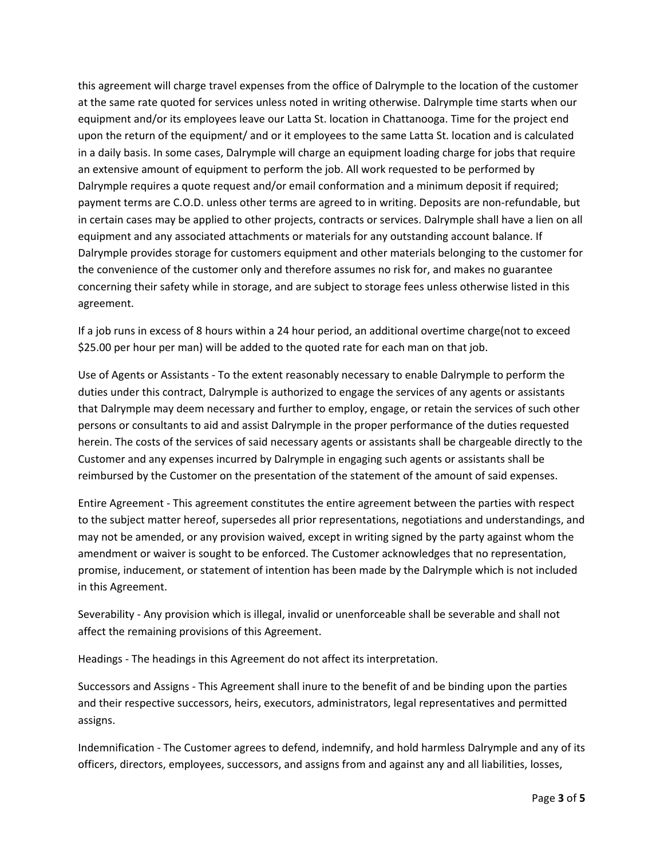this agreement will charge travel expenses from the office of Dalrymple to the location of the customer at the same rate quoted for services unless noted in writing otherwise. Dalrymple time starts when our equipment and/or its employees leave our Latta St. location in Chattanooga. Time for the project end upon the return of the equipment/ and or it employees to the same Latta St. location and is calculated in a daily basis. In some cases, Dalrymple will charge an equipment loading charge for jobs that require an extensive amount of equipment to perform the job. All work requested to be performed by Dalrymple requires a quote request and/or email conformation and a minimum deposit if required; payment terms are C.O.D. unless other terms are agreed to in writing. Deposits are non-refundable, but in certain cases may be applied to other projects, contracts or services. Dalrymple shall have a lien on all equipment and any associated attachments or materials for any outstanding account balance. If Dalrymple provides storage for customers equipment and other materials belonging to the customer for the convenience of the customer only and therefore assumes no risk for, and makes no guarantee concerning their safety while in storage, and are subject to storage fees unless otherwise listed in this agreement.

If a job runs in excess of 8 hours within a 24 hour period, an additional overtime charge(not to exceed \$25.00 per hour per man) will be added to the quoted rate for each man on that job.

Use of Agents or Assistants ‐ To the extent reasonably necessary to enable Dalrymple to perform the duties under this contract, Dalrymple is authorized to engage the services of any agents or assistants that Dalrymple may deem necessary and further to employ, engage, or retain the services of such other persons or consultants to aid and assist Dalrymple in the proper performance of the duties requested herein. The costs of the services of said necessary agents or assistants shall be chargeable directly to the Customer and any expenses incurred by Dalrymple in engaging such agents or assistants shall be reimbursed by the Customer on the presentation of the statement of the amount of said expenses.

Entire Agreement ‐ This agreement constitutes the entire agreement between the parties with respect to the subject matter hereof, supersedes all prior representations, negotiations and understandings, and may not be amended, or any provision waived, except in writing signed by the party against whom the amendment or waiver is sought to be enforced. The Customer acknowledges that no representation, promise, inducement, or statement of intention has been made by the Dalrymple which is not included in this Agreement.

Severability ‐ Any provision which is illegal, invalid or unenforceable shall be severable and shall not affect the remaining provisions of this Agreement.

Headings ‐ The headings in this Agreement do not affect its interpretation.

Successors and Assigns ‐ This Agreement shall inure to the benefit of and be binding upon the parties and their respective successors, heirs, executors, administrators, legal representatives and permitted assigns.

Indemnification ‐ The Customer agrees to defend, indemnify, and hold harmless Dalrymple and any of its officers, directors, employees, successors, and assigns from and against any and all liabilities, losses,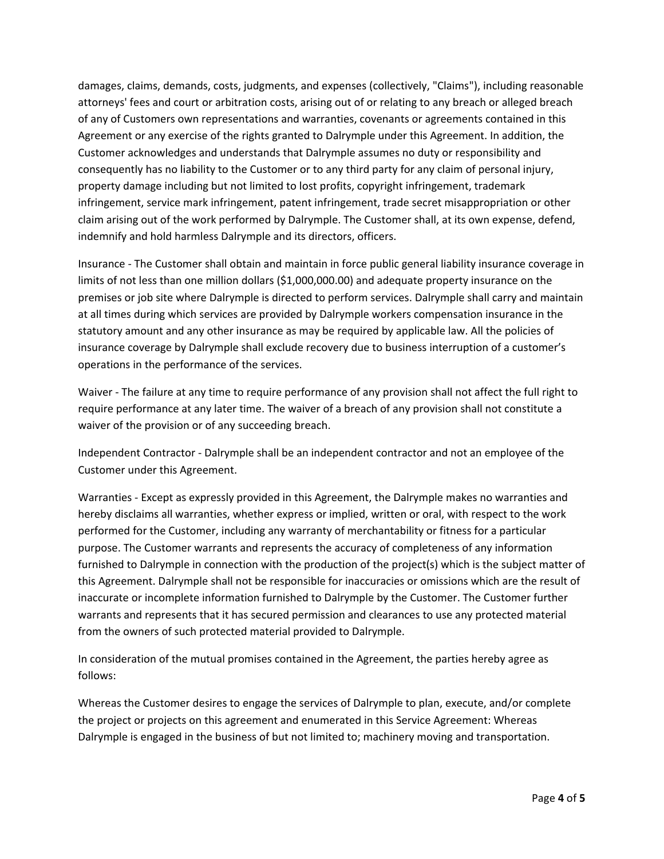damages, claims, demands, costs, judgments, and expenses (collectively, "Claims"), including reasonable attorneys' fees and court or arbitration costs, arising out of or relating to any breach or alleged breach of any of Customers own representations and warranties, covenants or agreements contained in this Agreement or any exercise of the rights granted to Dalrymple under this Agreement. In addition, the Customer acknowledges and understands that Dalrymple assumes no duty or responsibility and consequently has no liability to the Customer or to any third party for any claim of personal injury, property damage including but not limited to lost profits, copyright infringement, trademark infringement, service mark infringement, patent infringement, trade secret misappropriation or other claim arising out of the work performed by Dalrymple. The Customer shall, at its own expense, defend, indemnify and hold harmless Dalrymple and its directors, officers.

Insurance ‐ The Customer shall obtain and maintain in force public general liability insurance coverage in limits of not less than one million dollars (\$1,000,000.00) and adequate property insurance on the premises or job site where Dalrymple is directed to perform services. Dalrymple shall carry and maintain at all times during which services are provided by Dalrymple workers compensation insurance in the statutory amount and any other insurance as may be required by applicable law. All the policies of insurance coverage by Dalrymple shall exclude recovery due to business interruption of a customer's operations in the performance of the services.

Waiver - The failure at any time to require performance of any provision shall not affect the full right to require performance at any later time. The waiver of a breach of any provision shall not constitute a waiver of the provision or of any succeeding breach.

Independent Contractor ‐ Dalrymple shall be an independent contractor and not an employee of the Customer under this Agreement.

Warranties ‐ Except as expressly provided in this Agreement, the Dalrymple makes no warranties and hereby disclaims all warranties, whether express or implied, written or oral, with respect to the work performed for the Customer, including any warranty of merchantability or fitness for a particular purpose. The Customer warrants and represents the accuracy of completeness of any information furnished to Dalrymple in connection with the production of the project(s) which is the subject matter of this Agreement. Dalrymple shall not be responsible for inaccuracies or omissions which are the result of inaccurate or incomplete information furnished to Dalrymple by the Customer. The Customer further warrants and represents that it has secured permission and clearances to use any protected material from the owners of such protected material provided to Dalrymple.

In consideration of the mutual promises contained in the Agreement, the parties hereby agree as follows:

Whereas the Customer desires to engage the services of Dalrymple to plan, execute, and/or complete the project or projects on this agreement and enumerated in this Service Agreement: Whereas Dalrymple is engaged in the business of but not limited to; machinery moving and transportation.